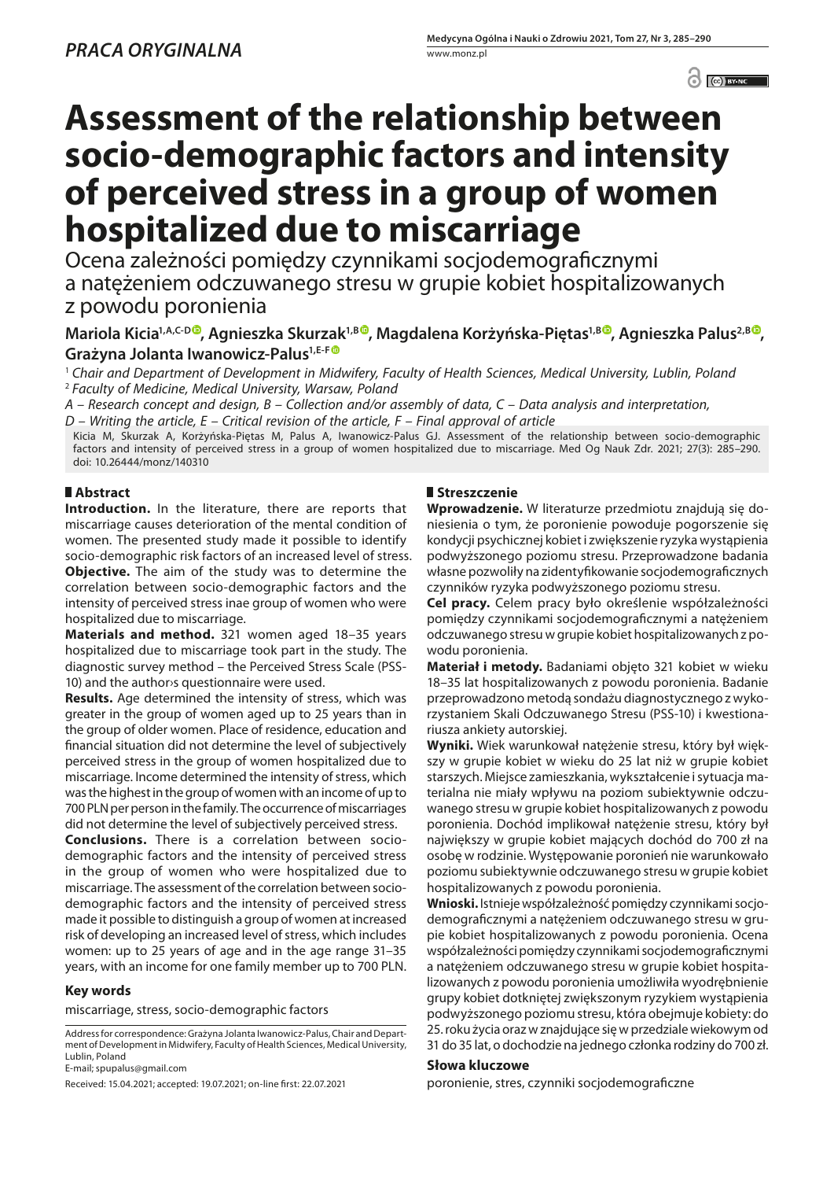$\odot$   $\odot$  BY-NC

# **Assessment of the relationship between socio-demographic factors and intensity of perceived stress in a group of women hospitalized due to miscarriage**

Ocena zależności pomiędzy czynnikami socjodemograficznymi a natężeniem odczuwanego stresu w grupie kobiet hospitalizowanych z powodu poronienia

# **Mariola Kicia1,A,C-D [,](https://orcid.org/0000-0002-3046-5146) Agnieszka Skurzak1,B [,](https://orcid.org/0000-0001-6846-4395) Magdalena Korżyńska-Piętas1,[B](https://orcid.org/0000-0002-3067-7456) , Agnieszka Palus2,B , Grażyna Jolanta Iwanowicz-Palus1,E-F**

<sup>1</sup> *Chair and Department of Development in Midwifery, Faculty of Health Sciences, Medical University, Lublin, Poland* <sup>2</sup> *Faculty of Medicine, Medical University, Warsaw, Poland*

*A – Research concept and design, B – Collection and/or assembly of data, C – Data analysis and interpretation,* 

*D – Writing the article, E – Critical revision of the article, F – Final approval of article*

Kicia M, Skurzak A, Korżyńska-Piętas M, Palus A, Iwanowicz-Palus GJ. Assessment of the relationship between socio-demographic factors and intensity of perceived stress in a group of women hospitalized due to miscarriage. Med Og Nauk Zdr. 2021; 27(3): 285–290. doi: 10.26444/monz/140310

## **Abstract**

**Introduction.** In the literature, there are reports that miscarriage causes deterioration of the mental condition of women. The presented study made it possible to identify socio-demographic risk factors of an increased level of stress. **Objective.** The aim of the study was to determine the correlation between socio-demographic factors and the intensity of perceived stress inae group of women who were hospitalized due to miscarriage.

**Materials and method.** 321 women aged 18–35 years hospitalized due to miscarriage took part in the study. The diagnostic survey method – the Perceived Stress Scale (PSS-10) and the author›s questionnaire were used.

**Results.** Age determined the intensity of stress, which was greater in the group of women aged up to 25 years than in the group of older women. Place of residence, education and financial situation did not determine the level of subjectively perceived stress in the group of women hospitalized due to miscarriage. Income determined the intensity of stress, which was the highest in the group of women with an income of up to 700 PLN per person in the family. The occurrence of miscarriages did not determine the level of subjectively perceived stress.

**Conclusions.** There is a correlation between sociodemographic factors and the intensity of perceived stress in the group of women who were hospitalized due to miscarriage. The assessment of the correlation between sociodemographic factors and the intensity of perceived stress made it possible to distinguish a group of women at increased risk of developing an increased level of stress, which includes women: up to 25 years of age and in the age range 31–35 years, with an income for one family member up to 700 PLN.

#### **Key words**

miscarriage, stress, socio-demographic factors

Address for correspondence: Grażyna Jolanta Iwanowicz-Palus, Chair and Department of Development in Midwifery, Faculty of Health Sciences, Medical University, Lublin, Poland

E-mail; spupalus@gmail.com

Received: 15.04.2021; accepted: 19.07.2021; on-line first: 22.07.2021

### **Streszczenie**

**Wprowadzenie.** W literaturze przedmiotu znajdują się doniesienia o tym, że poronienie powoduje pogorszenie się kondycji psychicznej kobiet i zwiększenie ryzyka wystąpienia podwyższonego poziomu stresu. Przeprowadzone badania własne pozwoliły na zidentyfikowanie socjodemograficznych czynników ryzyka podwyższonego poziomu stresu.

**Cel pracy.** Celem pracy było określenie współzależności pomiędzy czynnikami socjodemograficznymi a natężeniem odczuwanego stresu w grupie kobiet hospitalizowanych z powodu poronienia.

**Materiał i metody.** Badaniami objęto 321 kobiet w wieku 18–35 lat hospitalizowanych z powodu poronienia. Badanie przeprowadzono metodą sondażu diagnostycznego z wykorzystaniem Skali Odczuwanego Stresu (PSS-10) i kwestionariusza ankiety autorskiej.

**Wyniki.** Wiek warunkował natężenie stresu, który był większy w grupie kobiet w wieku do 25 lat niż w grupie kobiet starszych. Miejsce zamieszkania, wykształcenie i sytuacja materialna nie miały wpływu na poziom subiektywnie odczuwanego stresu w grupie kobiet hospitalizowanych z powodu poronienia. Dochód implikował natężenie stresu, który był największy w grupie kobiet mających dochód do 700 zł na osobę w rodzinie. Występowanie poronień nie warunkowało poziomu subiektywnie odczuwanego stresu w grupie kobiet hospitalizowanych z powodu poronienia.

**Wnioski.** Istniejewspółzależność pomiędzy czynnikamisocjodemograficznymi a natężeniem odczuwanego stresu w grupie kobiet hospitalizowanych z powodu poronienia. Ocena współzależności pomiędzy czynnikami socjodemograficznymi a natężeniem odczuwanego stresu w grupie kobiet hospitalizowanych z powodu poronienia umożliwiła wyodrębnienie grupy kobiet dotkniętej zwiększonym ryzykiem wystąpienia podwyższonego poziomu stresu, która obejmuje kobiety: do 25. roku życia oraz w znajdujące się w przedziale wiekowym od 31 do 35 lat, o dochodzie na jednego członka rodziny do 700 zł.

#### **Słowa kluczowe**

poronienie, stres, czynniki socjodemograficzne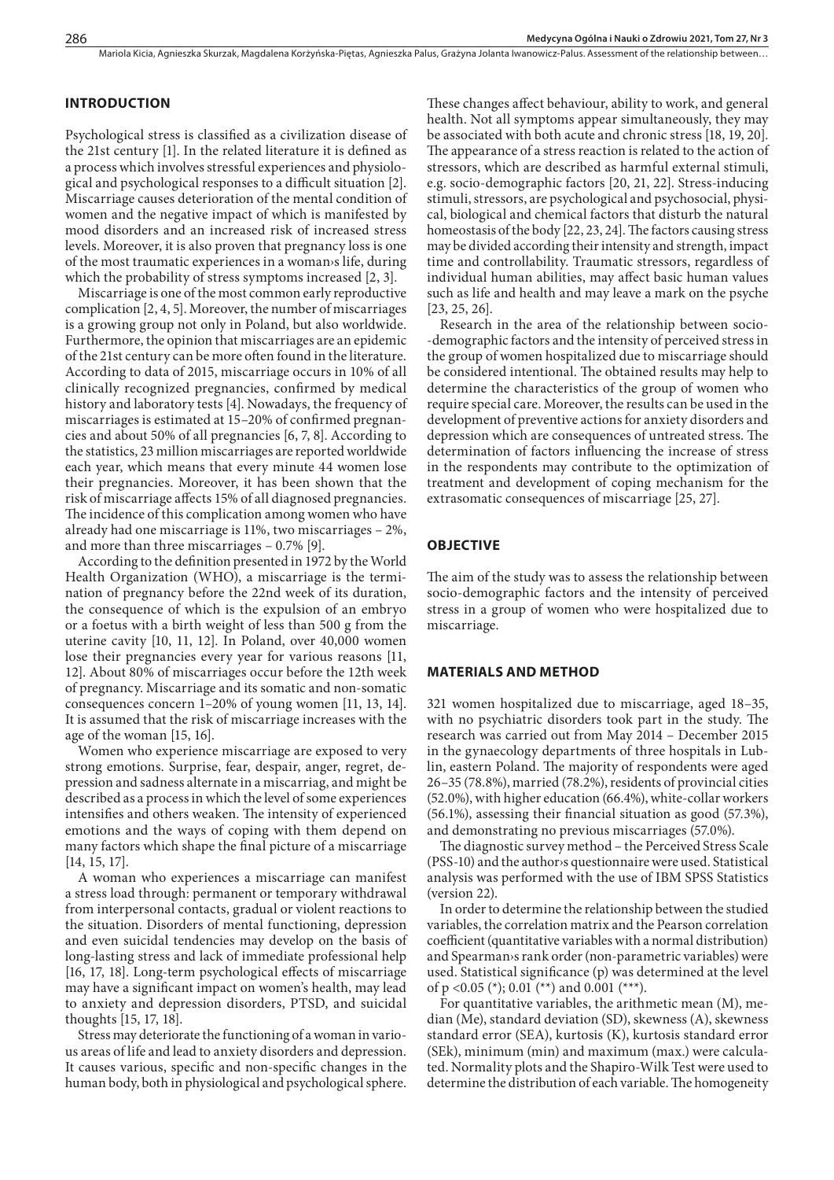#### **INTRODUCTION**

Psychological stress is classified as a civilization disease of the 21st century [1]. In the related literature it is defined as a process which involves stressful experiences and physiological and psychological responses to a difficult situation [2]. Miscarriage causes deterioration of the mental condition of women and the negative impact of which is manifested by mood disorders and an increased risk of increased stress levels. Moreover, it is also proven that pregnancy loss is one of the most traumatic experiences in a woman›s life, during which the probability of stress symptoms increased [2, 3].

Miscarriage is one of the most common early reproductive complication [2, 4, 5]. Moreover, the number of miscarriages is a growing group not only in Poland, but also worldwide. Furthermore, the opinion that miscarriages are an epidemic of the 21st century can be more often found in the literature. According to data of 2015, miscarriage occurs in 10% of all clinically recognized pregnancies, confirmed by medical history and laboratory tests [4]. Nowadays, the frequency of miscarriages is estimated at 15–20% of confirmed pregnancies and about 50% of all pregnancies [6, 7, 8]. According to the statistics, 23 million miscarriages are reported worldwide each year, which means that every minute 44 women lose their pregnancies. Moreover, it has been shown that the risk of miscarriage affects 15% of all diagnosed pregnancies. The incidence of this complication among women who have already had one miscarriage is 11%, two miscarriages – 2%, and more than three miscarriages – 0.7% [9].

According to the definition presented in 1972 by the World Health Organization (WHO), a miscarriage is the termination of pregnancy before the 22nd week of its duration, the consequence of which is the expulsion of an embryo or a foetus with a birth weight of less than 500 g from the uterine cavity [10, 11, 12]. In Poland, over 40,000 women lose their pregnancies every year for various reasons [11, 12]. About 80% of miscarriages occur before the 12th week of pregnancy. Miscarriage and its somatic and non-somatic consequences concern 1–20% of young women [11, 13, 14]. It is assumed that the risk of miscarriage increases with the age of the woman [15, 16].

Women who experience miscarriage are exposed to very strong emotions. Surprise, fear, despair, anger, regret, depression and sadness alternate in a miscarriag, and might be described as a process in which the level of some experiences intensifies and others weaken. The intensity of experienced emotions and the ways of coping with them depend on many factors which shape the final picture of a miscarriage [14, 15, 17].

A woman who experiences a miscarriage can manifest a stress load through: permanent or temporary withdrawal from interpersonal contacts, gradual or violent reactions to the situation. Disorders of mental functioning, depression and even suicidal tendencies may develop on the basis of long-lasting stress and lack of immediate professional help [16, 17, 18]. Long-term psychological effects of miscarriage may have a significant impact on women's health, may lead to anxiety and depression disorders, PTSD, and suicidal thoughts [15, 17, 18].

Stress may deteriorate the functioning of a woman in various areas of life and lead to anxiety disorders and depression. It causes various, specific and non-specific changes in the human body, both in physiological and psychological sphere.

These changes affect behaviour, ability to work, and general health. Not all symptoms appear simultaneously, they may be associated with both acute and chronic stress [18, 19, 20]. The appearance of a stress reaction is related to the action of stressors, which are described as harmful external stimuli, e.g. socio-demographic factors [20, 21, 22]. Stress-inducing stimuli, stressors, are psychological and psychosocial, physical, biological and chemical factors that disturb the natural homeostasis of the body [22, 23, 24]. The factors causing stress may be divided according their intensity and strength, impact time and controllability. Traumatic stressors, regardless of individual human abilities, may affect basic human values such as life and health and may leave a mark on the psyche [23, 25, 26].

Research in the area of the relationship between socio- -demographic factors and the intensity of perceived stress in the group of women hospitalized due to miscarriage should be considered intentional. The obtained results may help to determine the characteristics of the group of women who require special care. Moreover, the results can be used in the development of preventive actions for anxiety disorders and depression which are consequences of untreated stress. The determination of factors influencing the increase of stress in the respondents may contribute to the optimization of treatment and development of coping mechanism for the extrasomatic consequences of miscarriage [25, 27].

#### **OBJECTIVE**

The aim of the study was to assess the relationship between socio-demographic factors and the intensity of perceived stress in a group of women who were hospitalized due to miscarriage.

#### **MATERIALS AND METHOD**

321 women hospitalized due to miscarriage, aged 18–35, with no psychiatric disorders took part in the study. The research was carried out from May 2014 – December 2015 in the gynaecology departments of three hospitals in Lublin, eastern Poland. The majority of respondents were aged 26–35 (78.8%), married (78.2%), residents of provincial cities (52.0%), with higher education (66.4%), white-collar workers (56.1%), assessing their financial situation as good (57.3%), and demonstrating no previous miscarriages (57.0%).

The diagnostic survey method – the Perceived Stress Scale (PSS-10) and the author›s questionnaire were used. Statistical analysis was performed with the use of IBM SPSS Statistics (version 22).

In order to determine the relationship between the studied variables, the correlation matrix and the Pearson correlation coefficient (quantitative variables with a normal distribution) and Spearman›s rank order (non-parametric variables) were used. Statistical significance (p) was determined at the level of p <0.05 (\*); 0.01 (\*\*) and 0.001 (\*\*\*).

For quantitative variables, the arithmetic mean (M), median (Me), standard deviation (SD), skewness (A), skewness standard error (SEA), kurtosis (K), kurtosis standard error (SEk), minimum (min) and maximum (max.) were calculated. Normality plots and the Shapiro-Wilk Test were used to determine the distribution of each variable. The homogeneity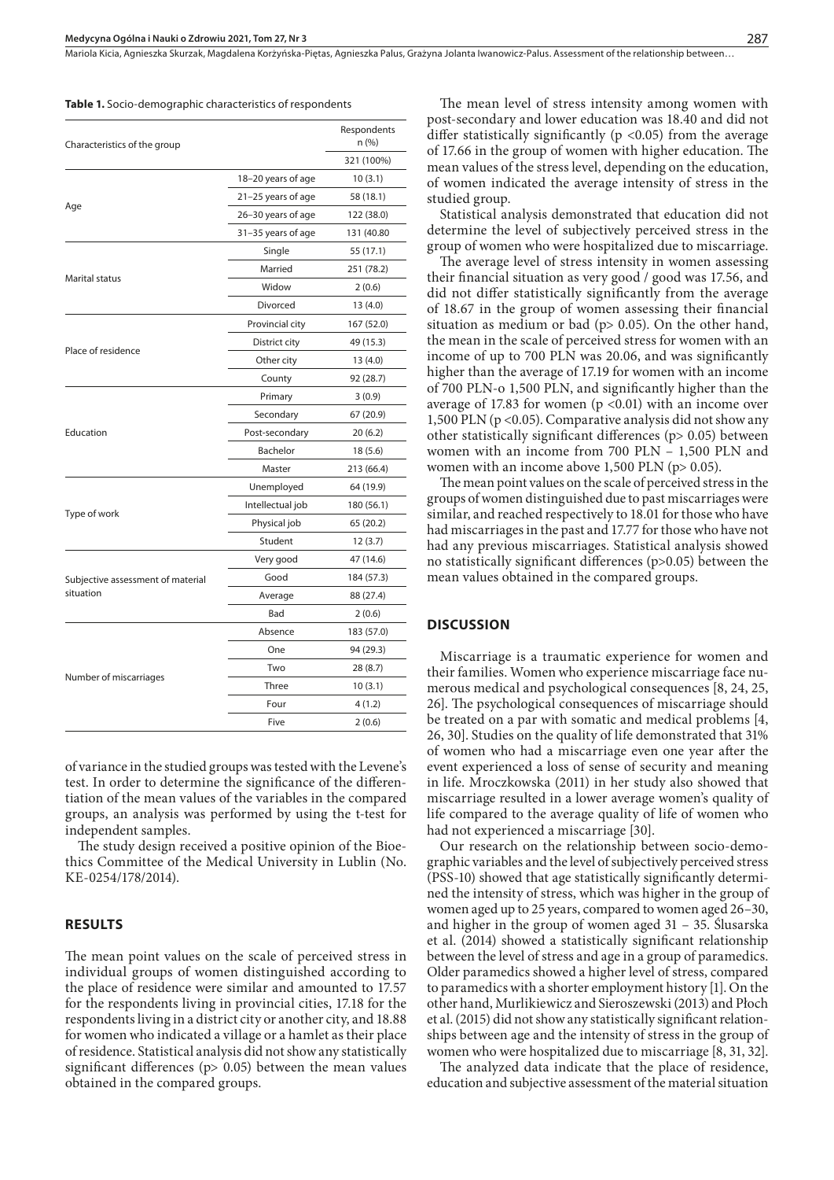Mariola Kicia, Agnieszka Skurzak, Magdalena Korżyńska-Piętas, Agnieszka Palus, Grażyna Jolanta Iwanowicz-Palus . Assessment of the relationship between…

#### **Table 1.** Socio-demographic characteristics of respondents

| Characteristics of the group      |                    | Respondents<br>n (%) |
|-----------------------------------|--------------------|----------------------|
|                                   |                    | 321 (100%)           |
|                                   | 18-20 years of age | 10(3.1)              |
|                                   | 21-25 years of age | 58 (18.1)            |
| Age                               | 26-30 years of age | 122 (38.0)           |
|                                   | 31-35 years of age | 131 (40.80           |
|                                   | Single             | 55 (17.1)            |
|                                   | Married            | 251 (78.2)           |
| Marital status                    | Widow              | 2(0.6)               |
|                                   | Divorced           | 13(4.0)              |
|                                   | Provincial city    | 167 (52.0)           |
|                                   | District city      | 49 (15.3)            |
| Place of residence                | Other city         | 13(4.0)              |
|                                   | County             | 92 (28.7)            |
|                                   | Primary            | 3(0.9)               |
|                                   | Secondary          | 67 (20.9)            |
| Education                         | Post-secondary     | 20(6.2)              |
|                                   | Bachelor           | 18 (5.6)             |
|                                   | Master             | 213 (66.4)           |
|                                   | Unemployed         | 64 (19.9)            |
|                                   | Intellectual job   | 180 (56.1)           |
| Type of work                      | Physical job       | 65 (20.2)            |
|                                   | Student            | 12 (3.7)             |
|                                   | Very good          | 47 (14.6)            |
| Subjective assessment of material | Good               | 184 (57.3)           |
| situation                         | Average            | 88 (27.4)            |
|                                   | Bad                | 2(0.6)               |
|                                   | Absence            | 183 (57.0)           |
|                                   | One                | 94 (29.3)            |
|                                   | Two                | 28 (8.7)             |
| Number of miscarriages            | Three              | 10(3.1)              |
|                                   | Four               | 4(1.2)               |
|                                   |                    |                      |

of variance in the studied groups was tested with the Levene's test. In order to determine the significance of the differentiation of the mean values of the variables in the compared groups, an analysis was performed by using the t-test for independent samples.

The study design received a positive opinion of the Bioethics Committee of the Medical University in Lublin (No. KE-0254/178/2014).

#### **RESULTS**

The mean point values on the scale of perceived stress in individual groups of women distinguished according to the place of residence were similar and amounted to 17.57 for the respondents living in provincial cities, 17.18 for the respondents living in a district city or another city, and 18.88 for women who indicated a village or a hamlet as their place of residence. Statistical analysis did not show any statistically significant differences (p> 0.05) between the mean values obtained in the compared groups.

The mean level of stress intensity among women with post-secondary and lower education was 18.40 and did not differ statistically significantly ( $p$  <0.05) from the average of 17.66 in the group of women with higher education. The mean values of the stress level, depending on the education, of women indicated the average intensity of stress in the studied group.

Statistical analysis demonstrated that education did not determine the level of subjectively perceived stress in the group of women who were hospitalized due to miscarriage.

The average level of stress intensity in women assessing their financial situation as very good / good was 17.56, and did not differ statistically significantly from the average of 18.67 in the group of women assessing their financial situation as medium or bad ( $p$  > 0.05). On the other hand, the mean in the scale of perceived stress for women with an income of up to 700 PLN was 20.06, and was significantly higher than the average of 17.19 for women with an income of 700 PLN-o 1,500 PLN, and significantly higher than the average of 17.83 for women  $(p \le 0.01)$  with an income over 1,500 PLN (p <0.05). Comparative analysis did not show any other statistically significant differences (p> 0.05) between women with an income from 700 PLN – 1,500 PLN and women with an income above 1,500 PLN (p> 0.05).

The mean point values on the scale of perceived stress in the groups of women distinguished due to past miscarriages were similar, and reached respectively to 18.01 for those who have had miscarriages in the past and 17.77 for those who have not had any previous miscarriages. Statistical analysis showed no statistically significant differences (p>0.05) between the mean values obtained in the compared groups.

#### **DISCUSSION**

Miscarriage is a traumatic experience for women and their families. Women who experience miscarriage face numerous medical and psychological consequences [8, 24, 25, 26]. The psychological consequences of miscarriage should be treated on a par with somatic and medical problems [4, 26, 30]. Studies on the quality of life demonstrated that 31% of women who had a miscarriage even one year after the event experienced a loss of sense of security and meaning in life. Mroczkowska (2011) in her study also showed that miscarriage resulted in a lower average women's quality of life compared to the average quality of life of women who had not experienced a miscarriage [30].

Our research on the relationship between socio-demographic variables and the level of subjectively perceived stress (PSS-10) showed that age statistically significantly determined the intensity of stress, which was higher in the group of women aged up to 25 years, compared to women aged 26–30, and higher in the group of women aged 31 – 35. Ślusarska et al. (2014) showed a statistically significant relationship between the level of stress and age in a group of paramedics. Older paramedics showed a higher level of stress, compared to paramedics with a shorter employment history [1]. On the other hand, Murlikiewicz and Sieroszewski (2013) and Płoch et al. (2015) did not show any statistically significant relationships between age and the intensity of stress in the group of women who were hospitalized due to miscarriage [8, 31, 32].

The analyzed data indicate that the place of residence, education and subjective assessment of the material situation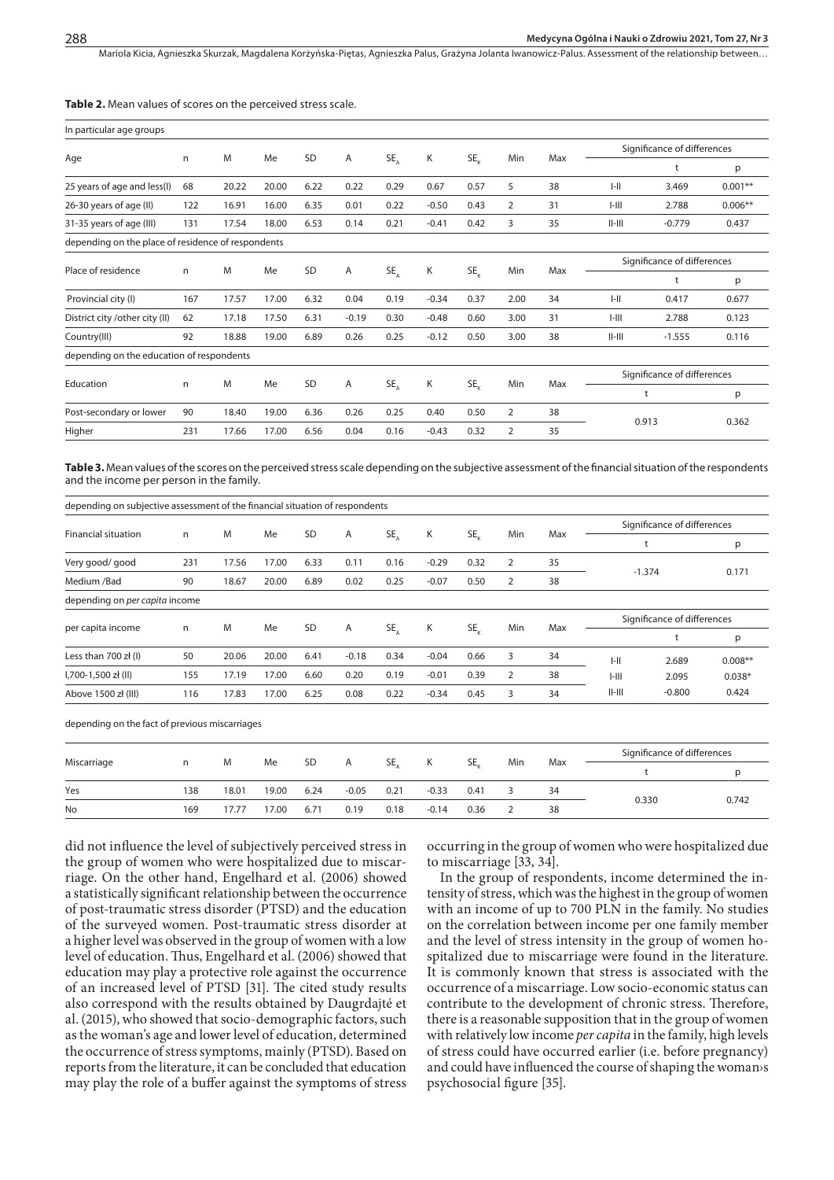Mariola Kicia, Agnieszka Skurzak, Magdalena Korżyńska-Piętas, Agnieszka Palus, Grażyna Jolanta Iwanowicz-Palus. Assessment of the relationship between...

#### **Table 2.** Mean values of scores on the perceived stress scale.

| In particular age groups                           |     |       |       |      |         |               |         |          |                |     |                             |                             |           |  |
|----------------------------------------------------|-----|-------|-------|------|---------|---------------|---------|----------|----------------|-----|-----------------------------|-----------------------------|-----------|--|
|                                                    |     |       |       |      |         |               |         |          |                |     | Significance of differences |                             |           |  |
| Age                                                | n   | M     | Me    | SD   | Α       | $SE_a$        | Κ       | $SE_{k}$ | Min            | Max |                             | t                           | p         |  |
| 25 years of age and less(I)                        | 68  | 20.22 | 20.00 | 6.22 | 0.22    | 0.29          | 0.67    | 0.57     | 5              | 38  | $I - II$                    | 3.469                       | $0.001**$ |  |
| 26-30 years of age (II)                            | 122 | 16.91 | 16.00 | 6.35 | 0.01    | 0.22          | $-0.50$ | 0.43     | $\overline{2}$ | 31  | $1 - 111$                   | 2.788                       | $0.006**$ |  |
| 31-35 years of age (III)                           | 131 | 17.54 | 18.00 | 6.53 | 0.14    | 0.21          | $-0.41$ | 0.42     | 3              | 35  | $  -   $                    | $-0.779$                    | 0.437     |  |
| depending on the place of residence of respondents |     |       |       |      |         |               |         |          |                |     |                             |                             |           |  |
| Place of residence                                 | n   | M     | Me    | SD   | Α       | $SE_{\Delta}$ | Κ       | $SE_{v}$ | Min            | Max | Significance of differences |                             |           |  |
|                                                    |     |       |       |      |         |               |         |          |                |     |                             | t                           | р         |  |
| Provincial city (I)                                | 167 | 17.57 | 17.00 | 6.32 | 0.04    | 0.19          | $-0.34$ | 0.37     | 2.00           | 34  | $I - II$                    | 0.417                       | 0.677     |  |
| District city / other city (II)                    | 62  | 17.18 | 17.50 | 6.31 | $-0.19$ | 0.30          | $-0.48$ | 0.60     | 3.00           | 31  | $1 - 111$                   | 2.788                       | 0.123     |  |
| Country(III)                                       | 92  | 18.88 | 19.00 | 6.89 | 0.26    | 0.25          | $-0.12$ | 0.50     | 3.00           | 38  | $  -   $                    | $-1.555$                    | 0.116     |  |
| depending on the education of respondents          |     |       |       |      |         |               |         |          |                |     |                             |                             |           |  |
|                                                    | n   |       |       |      |         |               |         |          |                |     |                             | Significance of differences |           |  |
| Education                                          |     | M     | Me    | SD   | Α       | $SE_{\Delta}$ | Κ       | $SE_{v}$ | Min            | Max |                             | t                           | p         |  |
| Post-secondary or lower                            | 90  | 18.40 | 19.00 | 6.36 | 0.26    | 0.25          | 0.40    | 0.50     | $\overline{2}$ | 38  |                             |                             | 0.362     |  |
| Higher                                             | 231 | 17.66 | 17.00 | 6.56 | 0.04    | 0.16          | $-0.43$ | 0.32     | $\overline{2}$ | 35  |                             | 0.913                       |           |  |

**Table 3.** Mean values of the scores on the perceived stress scale depending on the subjective assessment of the financial situation of the respondents and the income per person in the family.

| depending on subjective assessment of the financial situation of respondents |     |       |       |      |         |          |         |          |                |     |                             |                             |           |  |
|------------------------------------------------------------------------------|-----|-------|-------|------|---------|----------|---------|----------|----------------|-----|-----------------------------|-----------------------------|-----------|--|
|                                                                              |     |       |       |      |         |          |         |          |                | Max | Significance of differences |                             |           |  |
| <b>Financial situation</b>                                                   | n   | M     | Me    | SD   | Α       | $SE_{A}$ | Κ       | $SE_{v}$ | Min            |     |                             |                             | р         |  |
| Very good/good                                                               | 231 | 17.56 | 17.00 | 6.33 | 0.11    | 0.16     | $-0.29$ | 0.32     | $\overline{2}$ | 35  |                             | $-1.374$                    | 0.171     |  |
| Medium /Bad                                                                  | 90  | 18.67 | 20.00 | 6.89 | 0.02    | 0.25     | $-0.07$ | 0.50     | 2              | 38  |                             |                             |           |  |
| depending on per capita income                                               |     |       |       |      |         |          |         |          |                |     |                             |                             |           |  |
|                                                                              |     |       |       |      |         |          |         |          |                |     |                             | Significance of differences |           |  |
| per capita income                                                            | n   | M     | Me    | SD   | Α       | SE,      | K       | $SE_{v}$ | Min            | Max |                             |                             | p         |  |
| Less than 700 zł (I)                                                         | 50  | 20.06 | 20.00 | 6.41 | $-0.18$ | 0.34     | $-0.04$ | 0.66     | 3              | 34  | $\ $ -II                    | 2.689                       | $0.008**$ |  |
| I,700-1,500 zł (II)                                                          | 155 | 17.19 | 17.00 | 6.60 | 0.20    | 0.19     | $-0.01$ | 0.39     | 2              | 38  | $1 - 111$                   | 2.095                       | $0.038*$  |  |
| Above 1500 zł (III)                                                          | 116 | 17.83 | 17.00 | 6.25 | 0.08    | 0.22     | $-0.34$ | 0.45     | 3              | 34  | $II$ - $III$                | $-0.800$                    | 0.424     |  |
|                                                                              |     |       |       |      |         |          |         |          |                |     |                             |                             |           |  |

depending on the fact of previous miscarriages

|             |     |       |       |           |         |      |         | SE.<br>Min<br>Max |  |    | Significance of differences |       |
|-------------|-----|-------|-------|-----------|---------|------|---------|-------------------|--|----|-----------------------------|-------|
| Miscarriage | n   | M     | Me    | <b>SD</b> | A       | SE,  | K       |                   |  |    |                             |       |
| Yes         | 138 | 18.01 | 19.00 | 6.24      | $-0.05$ | 0.21 | $-0.33$ | 0.41              |  | 34 |                             |       |
| No          | 169 | 17.77 | 17.00 | 6.71      | 0.19    | 0.18 | $-0.14$ | 0.36              |  | 38 | 0.330                       | 0.742 |

did not influence the level of subjectively perceived stress in the group of women who were hospitalized due to miscarriage. On the other hand, Engelhard et al. (2006) showed a statistically significant relationship between the occurrence of post-traumatic stress disorder (PTSD) and the education of the surveyed women. Post-traumatic stress disorder at a higher level was observed in the group of women with a low level of education. Thus, Engelhard et al. (2006) showed that education may play a protective role against the occurrence of an increased level of PTSD [31]. The cited study results also correspond with the results obtained by Daugrdajté et al. (2015), who showed that socio-demographic factors, such as the woman's age and lower level of education, determined the occurrence of stress symptoms, mainly (PTSD). Based on reports from the literature, it can be concluded that education may play the role of a buffer against the symptoms of stress

occurring in the group of women who were hospitalized due to miscarriage [33, 34].

In the group of respondents, income determined the intensity of stress, which was the highest in the group of women with an income of up to 700 PLN in the family. No studies on the correlation between income per one family member and the level of stress intensity in the group of women hospitalized due to miscarriage were found in the literature. It is commonly known that stress is associated with the occurrence of a miscarriage. Low socio-economic status can contribute to the development of chronic stress. Therefore, there is a reasonable supposition that in the group of women with relatively low income *per capita* in the family, high levels of stress could have occurred earlier (i.e. before pregnancy) and could have influenced the course of shaping the woman>s psychosocial figure [35].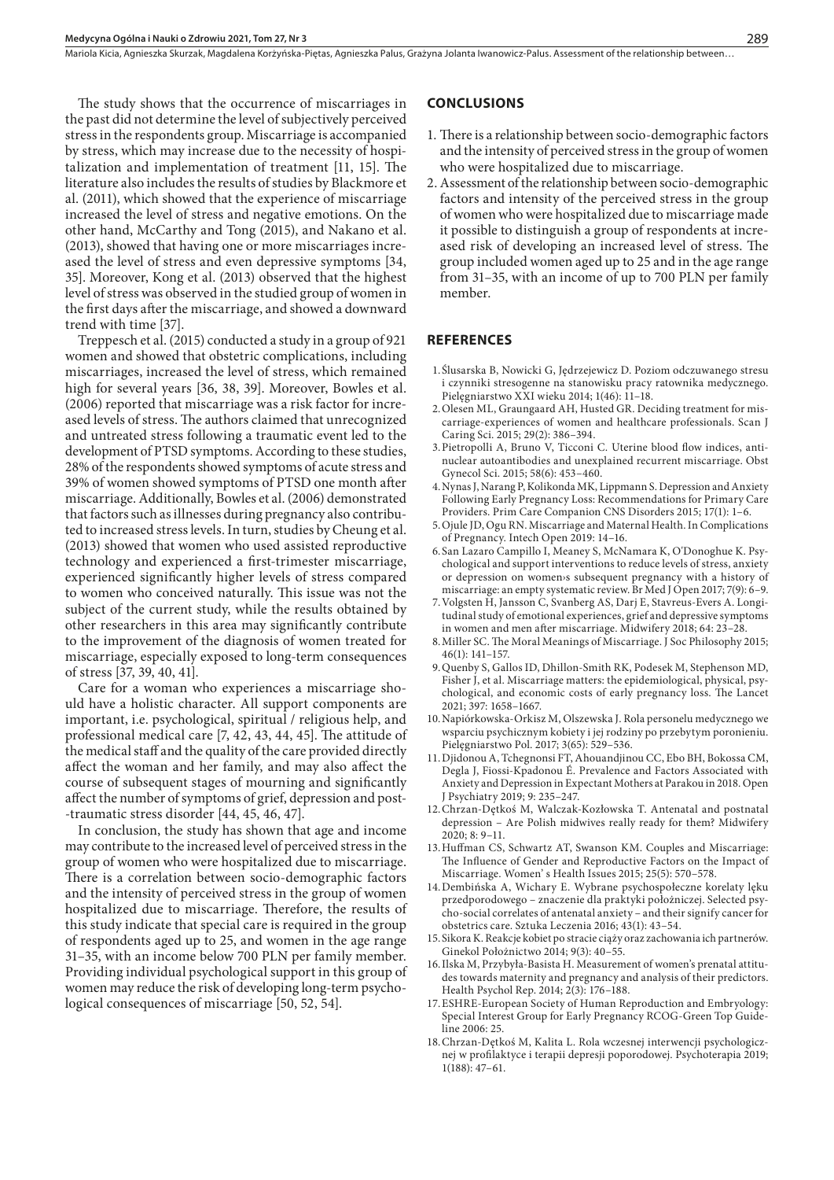The study shows that the occurrence of miscarriages in the past did not determine the level of subjectively perceived stress in the respondents group. Miscarriage is accompanied by stress, which may increase due to the necessity of hospitalization and implementation of treatment [11, 15]. The literature also includes the results of studies by Blackmore et al. (2011), which showed that the experience of miscarriage increased the level of stress and negative emotions. On the other hand, McCarthy and Tong (2015), and Nakano et al. (2013), showed that having one or more miscarriages increased the level of stress and even depressive symptoms [34, 35]. Moreover, Kong et al. (2013) observed that the highest level of stress was observed in the studied group of women in the first days after the miscarriage, and showed a downward trend with time [37].

Treppesch et al. (2015) conducted a study in a group of 921 women and showed that obstetric complications, including miscarriages, increased the level of stress, which remained high for several years [36, 38, 39]. Moreover, Bowles et al. (2006) reported that miscarriage was a risk factor for increased levels of stress. The authors claimed that unrecognized and untreated stress following a traumatic event led to the development of PTSD symptoms. According to these studies, 28% of the respondents showed symptoms of acute stress and 39% of women showed symptoms of PTSD one month after miscarriage. Additionally, Bowles et al. (2006) demonstrated that factors such as illnesses during pregnancy also contributed to increased stress levels. In turn, studies by Cheung et al. (2013) showed that women who used assisted reproductive technology and experienced a first-trimester miscarriage, experienced significantly higher levels of stress compared to women who conceived naturally. This issue was not the subject of the current study, while the results obtained by other researchers in this area may significantly contribute to the improvement of the diagnosis of women treated for miscarriage, especially exposed to long-term consequences of stress [37, 39, 40, 41].

Care for a woman who experiences a miscarriage should have a holistic character. All support components are important, i.e. psychological, spiritual / religious help, and professional medical care [7, 42, 43, 44, 45]. The attitude of the medical staff and the quality of the care provided directly affect the woman and her family, and may also affect the course of subsequent stages of mourning and significantly affect the number of symptoms of grief, depression and post- -traumatic stress disorder [44, 45, 46, 47].

In conclusion, the study has shown that age and income may contribute to the increased level of perceived stress in the group of women who were hospitalized due to miscarriage. There is a correlation between socio-demographic factors and the intensity of perceived stress in the group of women hospitalized due to miscarriage. Therefore, the results of this study indicate that special care is required in the group of respondents aged up to 25, and women in the age range 31–35, with an income below 700 PLN per family member. Providing individual psychological support in this group of women may reduce the risk of developing long-term psychological consequences of miscarriage [50, 52, 54].

#### **CONCLUSIONS**

- 1. There is a relationship between socio-demographic factors and the intensity of perceived stress in the group of women who were hospitalized due to miscarriage.
- 2.Assessment of the relationship between socio-demographic factors and intensity of the perceived stress in the group of women who were hospitalized due to miscarriage made it possible to distinguish a group of respondents at increased risk of developing an increased level of stress. The group included women aged up to 25 and in the age range from 31–35, with an income of up to 700 PLN per family member.

#### **REFERENCES**

- 1.Ślusarska B, Nowicki G, Jędrzejewicz D. Poziom odczuwanego stresu i czynniki stresogenne na stanowisku pracy ratownika medycznego. Pielęgniarstwo XXI wieku 2014; 1(46): 11–18.
- 2.Olesen ML, Graungaard AH, Husted GR. Deciding treatment for miscarriage-experiences of women and healthcare professionals. Scan J Caring Sci. 2015; 29(2): 386–394.
- 3.Pietropolli A, Bruno V, Ticconi C. Uterine blood flow indices, antinuclear autoantibodies and unexplained recurrent miscarriage. Obst Gynecol Sci. 2015; 58(6): 453–460.
- 4.Nynas J, Narang P, Kolikonda MK, Lippmann S. Depression and Anxiety Following Early Pregnancy Loss: Recommendations for Primary Care Providers. Prim Care Companion CNS Disorders 2015; 17(1): 1–6.
- 5.Ojule JD, Ogu RN. Miscarriage and Maternal Health. In Complications of Pregnancy. Intech Open 2019: 14–16.
- 6.San Lazaro Campillo I, Meaney S, McNamara K, O'Donoghue K. Psychological and support interventions to reduce levels of stress, anxiety or depression on women›s subsequent pregnancy with a history of miscarriage: an empty systematic review. Br Med J Open 2017; 7(9): 6–9.
- 7.Volgsten H, Jansson C, Svanberg AS, Darj E, Stavreus-Evers A. Longitudinal study of emotional experiences, grief and depressive symptoms in women and men after miscarriage. Midwifery 2018; 64: 23–28.
- 8.Miller SC. The Moral Meanings of Miscarriage. J Soc Philosophy 2015; 46(1): 141–157.
- 9.Quenby S, Gallos ID, Dhillon-Smith RK, Podesek M, Stephenson MD, Fisher J, et al. Miscarriage matters: the epidemiological, physical, psychological, and economic costs of early pregnancy loss. The Lancet 2021; 397: 1658–1667.
- 10.Napiórkowska-Orkisz M, Olszewska J. Rola personelu medycznego we wsparciu psychicznym kobiety i jej rodziny po przebytym poronieniu. Pielęgniarstwo Pol. 2017; 3(65): 529–536.
- 11.Djidonou A, Tchegnonsi FT, Ahouandjinou CC, Ebo BH, Bokossa CM, Degla J, Fiossi-Kpadonou É. Prevalence and Factors Associated with Anxiety and Depression in Expectant Mothers at Parakou in 2018. Open J Psychiatry 2019; 9: 235–247.
- 12.Chrzan-Dętkoś M, Walczak-Kozłowska T. Antenatal and postnatal depression – Are Polish midwives really ready for them? Midwifery 2020; 8: 9–11.
- 13.Huffman CS, Schwartz AT, Swanson KM. Couples and Miscarriage: The Influence of Gender and Reproductive Factors on the Impact of Miscarriage. Women' s Health Issues 2015; 25(5): 570–578.
- 14.Dembińska A, Wichary E. Wybrane psychospołeczne korelaty lęku przedporodowego – znaczenie dla praktyki położniczej. Selected psycho-social correlates of antenatal anxiety – and their signify cancer for obstetrics care. Sztuka Leczenia 2016; 43(1): 43–54.
- 15.Sikora K. Reakcje kobiet po stracie ciąży oraz zachowania ich partnerów. Ginekol Położnictwo 2014; 9(3): 40–55.
- 16.Ilska M, Przybyła-Basista H. Measurement of women's prenatal attitudes towards maternity and pregnancy and analysis of their predictors. Health Psychol Rep. 2014; 2(3): 176–188.
- 17.ESHRE-European Society of Human Reproduction and Embryology: Special Interest Group for Early Pregnancy RCOG-Green Top Guideline 2006: 25.
- 18.Chrzan-Dętkoś M, Kalita L. Rola wczesnej interwencji psychologicznej w profilaktyce i terapii depresji poporodowej. Psychoterapia 2019; 1(188): 47–61.